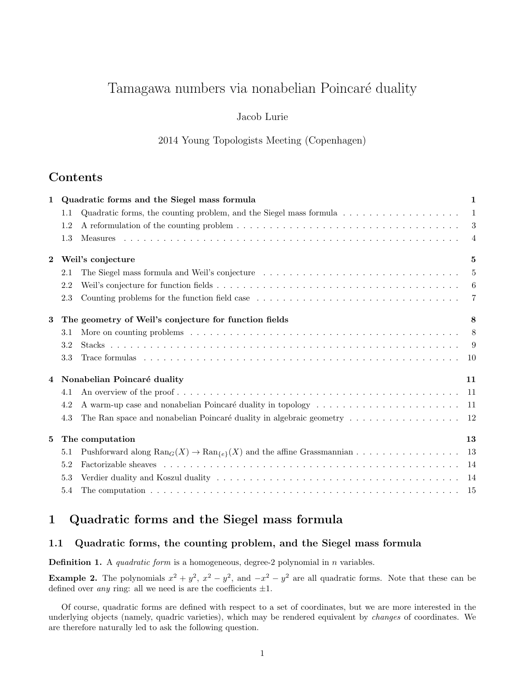# Tamagawa numbers via nonabelian Poincaré duality

## Jacob Lurie

2014 Young Topologists Meeting (Copenhagen)

# Contents

| $\mathbf{1}$ |                                   | Quadratic forms and the Siegel mass formula                                                               |                |  |
|--------------|-----------------------------------|-----------------------------------------------------------------------------------------------------------|----------------|--|
|              | 1.1                               | Quadratic forms, the counting problem, and the Siegel mass formula $\dots \dots \dots \dots \dots \dots$  | -1             |  |
|              | 1.2                               |                                                                                                           | 3              |  |
|              | 1.3                               |                                                                                                           | $\overline{4}$ |  |
| $\bf{2}$     | Weil's conjecture                 |                                                                                                           |                |  |
|              | 2.1                               | The Siegel mass formula and Weil's conjecture                                                             | $\overline{5}$ |  |
|              | 2.2                               |                                                                                                           | -6             |  |
|              | 2.3                               | Counting problems for the function field case                                                             | $\overline{7}$ |  |
| 3            |                                   | The geometry of Weil's conjecture for function fields                                                     |                |  |
|              | 3.1                               |                                                                                                           | 8              |  |
|              | 3.2                               |                                                                                                           | - 9            |  |
|              | 3.3                               |                                                                                                           | -10            |  |
| 4            | Nonabelian Poincaré duality<br>11 |                                                                                                           |                |  |
|              | 4.1                               |                                                                                                           | -11            |  |
|              | 4.2                               |                                                                                                           | -11            |  |
|              | 4.3                               | The Ran space and nonabelian Poincaré duality in algebraic geometry $\dots \dots \dots \dots \dots \dots$ |                |  |
| 5            | The computation                   |                                                                                                           |                |  |
|              | 5.1                               |                                                                                                           |                |  |
|              | 5.2                               |                                                                                                           | -14            |  |
|              | 5.3                               |                                                                                                           | -14            |  |
|              | 5.4                               |                                                                                                           |                |  |

# 1 Quadratic forms and the Siegel mass formula

# 1.1 Quadratic forms, the counting problem, and the Siegel mass formula

**Definition 1.** A *quadratic form* is a homogeneous, degree-2 polynomial in  $n$  variables.

**Example 2.** The polynomials  $x^2 + y^2$ ,  $x^2 - y^2$ , and  $-x^2 - y^2$  are all quadratic forms. Note that these can be defined over *any* ring: all we need is are the coefficients  $\pm 1$ .

Of course, quadratic forms are defined with respect to a set of coordinates, but we are more interested in the underlying objects (namely, quadric varieties), which may be rendered equivalent by changes of coordinates. We are therefore naturally led to ask the following question.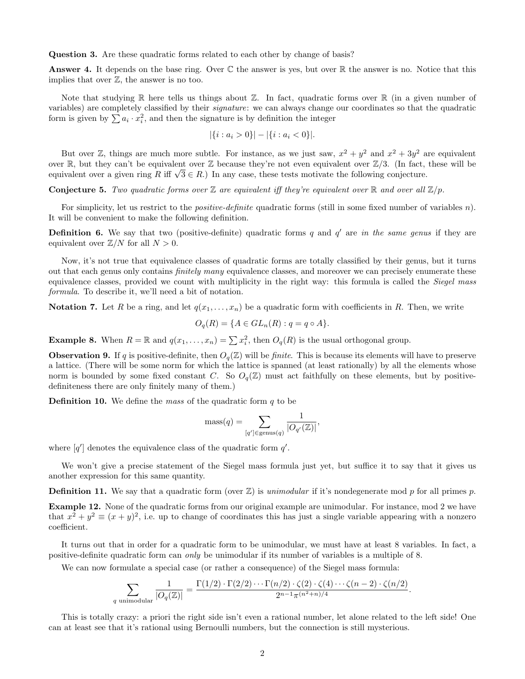Question 3. Are these quadratic forms related to each other by change of basis?

**Answer 4.** It depends on the base ring. Over  $\mathbb C$  the answer is yes, but over  $\mathbb R$  the answer is no. Notice that this implies that over  $\mathbb{Z}$ , the answer is no too.

Note that studying  $\mathbb R$  here tells us things about  $\mathbb Z$ . In fact, quadratic forms over  $\mathbb R$  (in a given number of variables) are completely classified by their signature: we can always change our coordinates so that the quadratic form is given by  $\sum a_i \cdot x_i^2$ , and then the signature is by definition the integer

$$
|\{i : a_i > 0\}| - |\{i : a_i < 0\}|.
$$

But over Z, things are much more subtle. For instance, as we just saw,  $x^2 + y^2$  and  $x^2 + 3y^2$  are equivalent over  $\mathbb R$ , but they can't be equivalent over  $\mathbb Z$  because they're not even equivalent over  $\mathbb Z/3$ . (In fact, these will be over  $\mathbb{R}$ , but they can't be equivalent over  $\mathbb{Z}$  because they're not even equivalent over  $\mathbb{Z}/3$ . (In fact, equivalent over a given ring R iff  $\sqrt{3} \in R$ .) In any case, these tests motivate the following conje

**Conjecture 5.** Two quadratic forms over  $\mathbb{Z}$  are equivalent iff they're equivalent over  $\mathbb{R}$  and over all  $\mathbb{Z}/p$ .

For simplicity, let us restrict to the *positive-definite* quadratic forms (still in some fixed number of variables n). It will be convenient to make the following definition.

**Definition 6.** We say that two (positive-definite) quadratic forms  $q$  and  $q'$  are in the same genus if they are equivalent over  $\mathbb{Z}/N$  for all  $N > 0$ .

Now, it's not true that equivalence classes of quadratic forms are totally classified by their genus, but it turns out that each genus only contains *finitely many* equivalence classes, and moreover we can precisely enumerate these equivalence classes, provided we count with multiplicity in the right way: this formula is called the Siegel mass formula. To describe it, we'll need a bit of notation.

**Notation 7.** Let R be a ring, and let  $q(x_1, \ldots, x_n)$  be a quadratic form with coefficients in R. Then, we write

$$
O_q(R) = \{ A \in GL_n(R) : q = q \circ A \}.
$$

**Example 8.** When  $R = \mathbb{R}$  and  $q(x_1, \ldots, x_n) = \sum x_i^2$ , then  $O_q(R)$  is the usual orthogonal group.

**Observation 9.** If q is positive-definite, then  $O_q(\mathbb{Z})$  will be *finite*. This is because its elements will have to preserve a lattice. (There will be some norm for which the lattice is spanned (at least rationally) by all the elements whose norm is bounded by some fixed constant C. So  $O_q(\mathbb{Z})$  must act faithfully on these elements, but by positivedefiniteness there are only finitely many of them.)

**Definition 10.** We define the mass of the quadratic form  $q$  to be

$$
\text{mass}(q) = \sum_{[q'] \in \text{genus}(q)} \frac{1}{|O_{q'}(\mathbb{Z})|},
$$

where  $[q']$  denotes the equivalence class of the quadratic form  $q'$ .

We won't give a precise statement of the Siegel mass formula just yet, but suffice it to say that it gives us another expression for this same quantity.

**Definition 11.** We say that a quadratic form (over  $\mathbb{Z}$ ) is unimodular if it's nondegenerate mod p for all primes p.

Example 12. None of the quadratic forms from our original example are unimodular. For instance, mod 2 we have that  $x^2 + y^2 \equiv (x + y)^2$ , i.e. up to change of coordinates this has just a single variable appearing with a nonzero coefficient.

It turns out that in order for a quadratic form to be unimodular, we must have at least 8 variables. In fact, a positive-definite quadratic form can only be unimodular if its number of variables is a multiple of 8.

We can now formulate a special case (or rather a consequence) of the Siegel mass formula:

$$
\sum_{q \text{ unimodular}} \frac{1}{|O_q(\mathbb{Z})|} = \frac{\Gamma(1/2) \cdot \Gamma(2/2) \cdots \Gamma(n/2) \cdot \zeta(2) \cdot \zeta(4) \cdots \zeta(n-2) \cdot \zeta(n/2)}{2^{n-1} \pi^{(n^2+n)/4}}.
$$

This is totally crazy: a priori the right side isn't even a rational number, let alone related to the left side! One can at least see that it's rational using Bernoulli numbers, but the connection is still mysterious.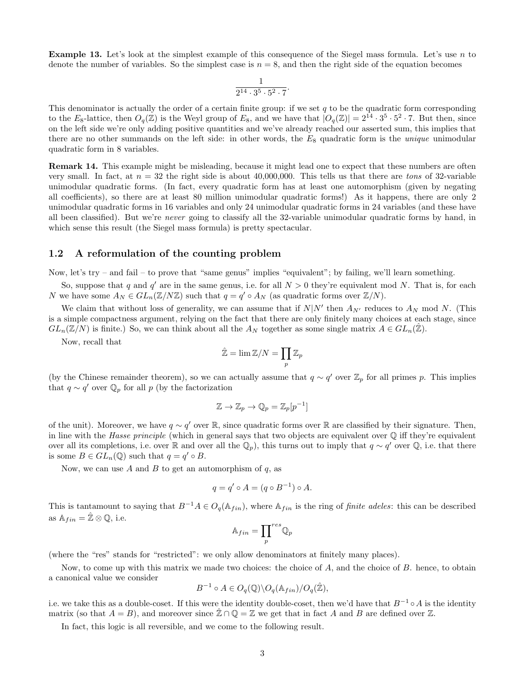**Example 13.** Let's look at the simplest example of this consequence of the Siegel mass formula. Let's use n to denote the number of variables. So the simplest case is  $n = 8$ , and then the right side of the equation becomes

$$
\frac{1}{2^{14}\cdot 3^5\cdot 5^2\cdot 7}.
$$

This denominator is actually the order of a certain finite group: if we set  $q$  to be the quadratic form corresponding to the  $E_8$ -lattice, then  $O_q(\mathbb{Z})$  is the Weyl group of  $E_8$ , and we have that  $|O_q(\mathbb{Z})| = 2^{14} \cdot 3^5 \cdot 5^2 \cdot 7$ . But then, since on the left side we're only adding positive quantities and we've already reached our asserted sum, this implies that there are no other summands on the left side: in other words, the  $E_8$  quadratic form is the *unique* unimodular quadratic form in 8 variables.

Remark 14. This example might be misleading, because it might lead one to expect that these numbers are often very small. In fact, at  $n = 32$  the right side is about 40,000,000. This tells us that there are tons of 32-variable unimodular quadratic forms. (In fact, every quadratic form has at least one automorphism (given by negating all coefficients), so there are at least 80 million unimodular quadratic forms!) As it happens, there are only 2 unimodular quadratic forms in 16 variables and only 24 unimodular quadratic forms in 24 variables (and these have all been classified). But we're never going to classify all the 32-variable unimodular quadratic forms by hand, in which sense this result (the Siegel mass formula) is pretty spectacular.

#### 1.2 A reformulation of the counting problem

Now, let's try – and fail – to prove that "same genus" implies "equivalent"; by failing, we'll learn something.

So, suppose that q and q' are in the same genus, i.e. for all  $N > 0$  they're equivalent mod N. That is, for each N we have some  $A_N \in GL_n(\mathbb{Z}/N\mathbb{Z})$  such that  $q = q' \circ A_N$  (as quadratic forms over  $\mathbb{Z}/N$ ).

We claim that without loss of generality, we can assume that if  $N|N'$  then  $A_{N'}$  reduces to  $A_N$  mod N. (This is a simple compactness argument, relying on the fact that there are only finitely many choices at each stage, since  $GL_n(\mathbb{Z}/N)$  is finite.) So, we can think about all the  $A_N$  together as some single matrix  $A \in GL_n(\mathbb{Z})$ .

Now, recall that

$$
\hat{\mathbb{Z}} = \lim \mathbb{Z}/N = \prod_p \mathbb{Z}_p
$$

(by the Chinese remainder theorem), so we can actually assume that  $q \sim q'$  over  $\mathbb{Z}_p$  for all primes p. This implies that  $q \sim q'$  over  $\mathbb{Q}_p$  for all p (by the factorization

$$
\mathbb{Z} \to \mathbb{Z}_p \to \mathbb{Q}_p = \mathbb{Z}_p[p^{-1}]
$$

of the unit). Moreover, we have  $q \sim q'$  over R, since quadratic forms over R are classified by their signature. Then, in line with the Hasse principle (which in general says that two objects are equivalent over Q iff they're equivalent over all its completions, i.e. over R and over all the  $\mathbb{Q}_p$ , this turns out to imply that  $q \sim q'$  over  $\mathbb{Q}$ , i.e. that there is some  $B \in GL_n(\mathbb{Q})$  such that  $q = q' \circ B$ .

Now, we can use A and B to get an automorphism of  $q$ , as

$$
q = q' \circ A = (q \circ B^{-1}) \circ A.
$$

This is tantamount to saying that  $B^{-1}A \in O_q(\mathbb{A}_{fin})$ , where  $\mathbb{A}_{fin}$  is the ring of *finite adeles*: this can be described as  $\mathbb{A}_{fin} = \mathbb{Z} \otimes \mathbb{Q}$ , i.e.

$$
\mathbb{A}_{fin}=\prod_p^{res}\mathbb{Q}_p
$$

(where the "res" stands for "restricted": we only allow denominators at finitely many places).

Now, to come up with this matrix we made two choices: the choice of A, and the choice of B. hence, to obtain a canonical value we consider

$$
B^{-1} \circ A \in O_q(\mathbb{Q}) \backslash O_q(\mathbb{A}_{fin}) / O_q(\hat{\mathbb{Z}}),
$$

i.e. we take this as a double-coset. If this were the identity double-coset, then we'd have that  $B^{-1} \circ A$  is the identity matrix (so that  $A = B$ ), and moreover since  $\mathbb{Z} \cap \mathbb{Q} = \mathbb{Z}$  we get that in fact A and B are defined over  $\mathbb{Z}$ .

In fact, this logic is all reversible, and we come to the following result.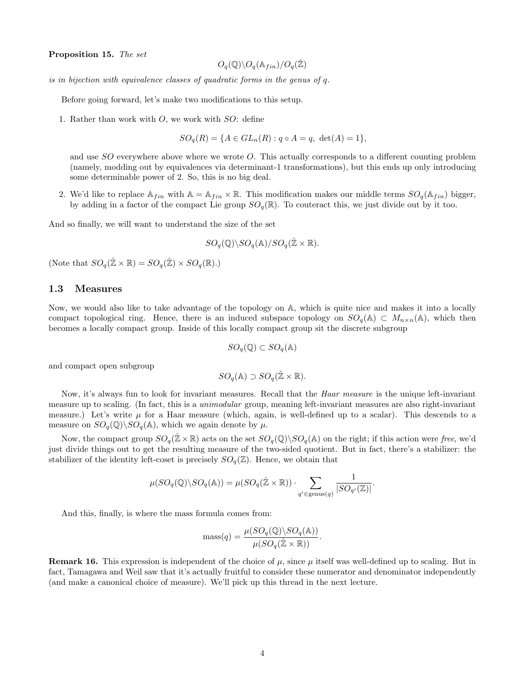Proposition 15. The set

$$
O_q(\mathbb{Q}) \backslash O_q(\mathbb{A}_{fin}) / O_q(\hat{\mathbb{Z}})
$$

is in bijection with equivalence classes of quadratic forms in the genus of q.

Before going forward, let's make two modifications to this setup.

1. Rather than work with  $O$ , we work with  $SO:$  define

 $SO_q(R) = \{A \in GL_n(R) : q \circ A = q, \ \det(A) = 1\},\$ 

and use  $SO$  everywhere above where we wrote O. This actually corresponds to a different counting problem (namely, modding out by equivalences via determinant-1 transformations), but this ends up only introducing some determinable power of 2. So, this is no big deal.

2. We'd like to replace  $A_{fin}$  with  $A = A_{fin} \times \mathbb{R}$ . This modification makes our middle terms  $SO_q(A_{fin})$  bigger, by adding in a factor of the compact Lie group  $SO_q(\mathbb{R})$ . To couteract this, we just divide out by it too.

And so finally, we will want to understand the size of the set

$$
SO_q(\mathbb{Q})\backslash SO_q(\mathbb{A})/SO_q(\hat{\mathbb{Z}}\times \mathbb{R}).
$$

(Note that  $SO_q(\hat{\mathbb{Z}} \times \mathbb{R}) = SO_q(\hat{\mathbb{Z}}) \times SO_q(\mathbb{R})$ .)

#### 1.3 Measures

Now, we would also like to take advantage of the topology on A, which is quite nice and makes it into a locally compact topological ring. Hence, there is an induced subspace topology on  $SO_q(\mathbb{A}) \subset M_{n \times n}(\mathbb{A})$ , which then becomes a locally compact group. Inside of this locally compact group sit the discrete subgroup

$$
SO_q(\mathbb{Q}) \subset SO_q(\mathbb{A})
$$

and compact open subgroup

$$
SO_q(\mathbb{A}) \supset SO_q(\hat{\mathbb{Z}} \times \mathbb{R}).
$$

Now, it's always fun to look for invariant measures. Recall that the *Haar measure* is the unique left-invariant measure up to scaling. (In fact, this is a unimodular group, meaning left-invariant measures are also right-invariant measure.) Let's write  $\mu$  for a Haar measure (which, again, is well-defined up to a scalar). This descends to a measure on  $SO_q(\mathbb{Q})\backslash SO_q(\mathbb{A})$ , which we again denote by  $\mu$ .

Now, the compact group  $SO_q(\hat{\mathbb{Z}}\times\mathbb{R})$  acts on the set  $SO_q(\mathbb{Q})\backslash SO_q(\mathbb{A})$  on the right; if this action were free, we'd just divide things out to get the resulting measure of the two-sided quotient. But in fact, there's a stabilizer: the stabilizer of the identity left-coset is precisely  $SO_q(\mathbb{Z})$ . Hence, we obtain that

$$
\mu(SO_q(\mathbb{Q})\backslash SO_q(\mathbb{A})) = \mu(SO_q(\hat{\mathbb{Z}} \times \mathbb{R})) \cdot \sum_{q' \in \text{genus}(q)} \frac{1}{|SO_{q'}(\mathbb{Z})|}.
$$

And this, finally, is where the mass formula comes from:

$$
\text{mass}(q) = \frac{\mu(SO_q(\mathbb{Q}) \backslash SO_q(\mathbb{A}))}{\mu(SO_q(\hat{\mathbb{Z}} \times \mathbb{R}))}.
$$

**Remark 16.** This expression is independent of the choice of  $\mu$ , since  $\mu$  itself was well-defined up to scaling. But in fact, Tamagawa and Weil saw that it's actually fruitful to consider these numerator and denominator independently (and make a canonical choice of measure). We'll pick up this thread in the next lecture.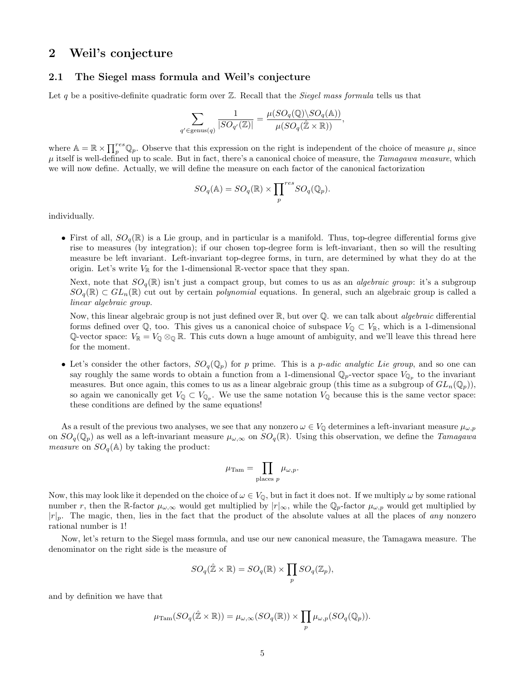# 2 Weil's conjecture

## 2.1 The Siegel mass formula and Weil's conjecture

Let q be a positive-definite quadratic form over  $\mathbb{Z}$ . Recall that the *Siegel mass formula* tells us that

$$
\sum_{q' \in \text{genus}(q)} \frac{1}{|SO_{q'}(\mathbb{Z})|} = \frac{\mu(SO_q(\mathbb{Q}) \backslash SO_q(\mathbb{A}))}{\mu(SO_q(\mathbb{Z} \times \mathbb{R}))},
$$

where  $\mathbb{A} = \mathbb{R} \times \prod_{p}^{res} \mathbb{Q}_p$ . Observe that this expression on the right is independent of the choice of measure  $\mu$ , since  $\mu$  itself is well-defined up to scale. But in fact, there's a canonical choice of measure, the Tamagawa measure, which we will now define. Actually, we will define the measure on each factor of the canonical factorization

$$
SO_q(\mathbb{A}) = SO_q(\mathbb{R}) \times \prod_p^{res} SO_q(\mathbb{Q}_p).
$$

individually.

• First of all,  $SO_q(\mathbb{R})$  is a Lie group, and in particular is a manifold. Thus, top-degree differential forms give rise to measures (by integration); if our chosen top-degree form is left-invariant, then so will the resulting measure be left invariant. Left-invariant top-degree forms, in turn, are determined by what they do at the origin. Let's write  $V_{\mathbb{R}}$  for the 1-dimensional  $\mathbb{R}$ -vector space that they span.

Next, note that  $SO_q(\mathbb{R})$  isn't just a compact group, but comes to us as an *algebraic group*: it's a subgroup  $SO_q(\mathbb{R})\subset GL_n(\mathbb{R})$  cut out by certain *polynomial* equations. In general, such an algebraic group is called a linear algebraic group.

Now, this linear algebraic group is not just defined over  $\mathbb{R}$ , but over  $\mathbb{Q}$ . we can talk about *algebraic* differential forms defined over  $\mathbb{Q}$ , too. This gives us a canonical choice of subspace  $V_{\mathbb{Q}} \subset V_{\mathbb{R}}$ , which is a 1-dimensional Q-vector space:  $V_{\mathbb{R}} = V_0 \otimes_{\mathbb{Q}} \mathbb{R}$ . This cuts down a huge amount of ambiguity, and we'll leave this thread here for the moment.

• Let's consider the other factors,  $SO_q(\mathbb{Q}_p)$  for p prime. This is a p-adic analytic Lie group, and so one can say roughly the same words to obtain a function from a 1-dimensional  $\mathbb{Q}_p$ -vector space  $V_{\mathbb{Q}_p}$  to the invariant measures. But once again, this comes to us as a linear algebraic group (this time as a subgroup of  $GL_n(\mathbb{Q}_p)$ ), so again we canonically get  $V_{\mathbb{Q}} \subset V_{\mathbb{Q}_p}$ . We use the same notation  $V_{\mathbb{Q}}$  because this is the same vector space: these conditions are defined by the same equations!

As a result of the previous two analyses, we see that any nonzero  $\omega \in V_{\mathbb{Q}}$  determines a left-invariant measure  $\mu_{\omega, p}$ on  $SO_q(\mathbb{Q}_p)$  as well as a left-invariant measure  $\mu_{\omega,\infty}$  on  $SO_q(\mathbb{R})$ . Using this observation, we define the Tamagawa measure on  $SO_q(\mathbb{A})$  by taking the product:

$$
\mu_{\text{Tam}} = \prod_{\text{places }p} \mu_{\omega, p}.
$$

Now, this may look like it depended on the choice of  $\omega \in V_{\mathbb{Q}}$ , but in fact it does not. If we multiply  $\omega$  by some rational number r, then the R-factor  $\mu_{\omega,\infty}$  would get multiplied by  $|r|_{\infty}$ , while the  $\mathbb{Q}_p$ -factor  $\mu_{\omega,p}$  would get multiplied by  $|r|_p$ . The magic, then, lies in the fact that the product of the absolute values at all the places of any nonzero rational number is 1!

Now, let's return to the Siegel mass formula, and use our new canonical measure, the Tamagawa measure. The denominator on the right side is the measure of

$$
SO_q(\hat{\mathbb{Z}} \times \mathbb{R}) = SO_q(\mathbb{R}) \times \prod_p SO_q(\mathbb{Z}_p),
$$

and by definition we have that

$$
\mu_{\mathrm{Tam}}(SO_q(\hat{\mathbb{Z}}\times\mathbb{R}))=\mu_{\omega,\infty}(SO_q(\mathbb{R}))\times\prod_p\mu_{\omega,p}(SO_q(\mathbb{Q}_p)).
$$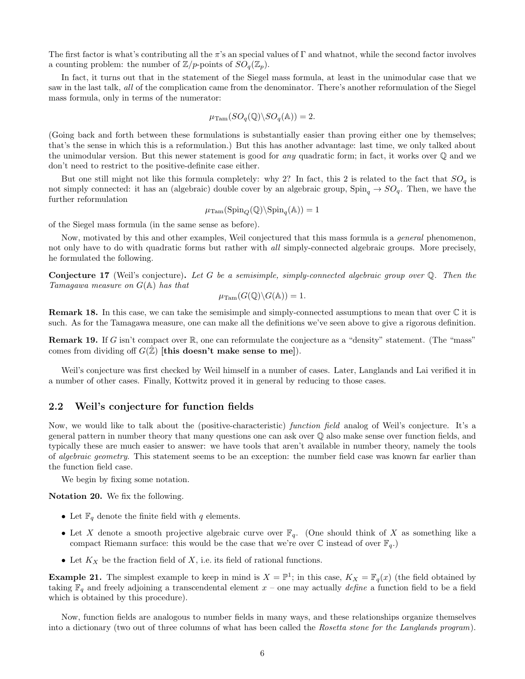The first factor is what's contributing all the  $\pi$ 's an special values of  $\Gamma$  and whatnot, while the second factor involves a counting problem: the number of  $\mathbb{Z}/p$ -points of  $SO_q(\mathbb{Z}_p)$ .

In fact, it turns out that in the statement of the Siegel mass formula, at least in the unimodular case that we saw in the last talk, all of the complication came from the denominator. There's another reformulation of the Siegel mass formula, only in terms of the numerator:

$$
\mu_{\mathrm{Tam}}(SO_q(\mathbb{Q})\backslash SO_q(\mathbb{A}))=2.
$$

(Going back and forth between these formulations is substantially easier than proving either one by themselves; that's the sense in which this is a reformulation.) But this has another advantage: last time, we only talked about the unimodular version. But this newer statement is good for *any* quadratic form; in fact, it works over  $\mathbb Q$  and we don't need to restrict to the positive-definite case either.

But one still might not like this formula completely: why 2? In fact, this 2 is related to the fact that  $SO_q$  is not simply connected: it has an (algebraic) double cover by an algebraic group,  $Spin_a \to SO_a$ . Then, we have the further reformulation

$$
\mu_{\mathrm{Tam}}(\mathrm{Spin}_Q(\mathbb{Q})\backslash\mathrm{Spin}_q(\mathbb{A}))=1
$$

of the Siegel mass formula (in the same sense as before).

Now, motivated by this and other examples, Weil conjectured that this mass formula is a *general* phenomenon, not only have to do with quadratic forms but rather with all simply-connected algebraic groups. More precisely, he formulated the following.

**Conjecture 17** (Weil's conjecture). Let G be a semisimple, simply-connected algebraic group over  $\mathbb{O}$ . Then the Tamagawa measure on G(A) has that

$$
\mu_{\mathrm{Tam}}(G(\mathbb{Q})\backslash G(\mathbb{A}))=1.
$$

Remark 18. In this case, we can take the semisimple and simply-connected assumptions to mean that over C it is such. As for the Tamagawa measure, one can make all the definitions we've seen above to give a rigorous definition.

**Remark 19.** If G isn't compact over  $\mathbb{R}$ , one can reformulate the conjecture as a "density" statement. (The "mass" comes from dividing off  $G(\hat{\mathbb{Z}})$  [this doesn't make sense to me]).

Weil's conjecture was first checked by Weil himself in a number of cases. Later, Langlands and Lai verified it in a number of other cases. Finally, Kottwitz proved it in general by reducing to those cases.

#### 2.2 Weil's conjecture for function fields

Now, we would like to talk about the (positive-characteristic) function field analog of Weil's conjecture. It's a general pattern in number theory that many questions one can ask over Q also make sense over function fields, and typically these are much easier to answer: we have tools that aren't available in number theory, namely the tools of algebraic geometry. This statement seems to be an exception: the number field case was known far earlier than the function field case.

We begin by fixing some notation.

Notation 20. We fix the following.

- Let  $\mathbb{F}_q$  denote the finite field with q elements.
- Let X denote a smooth projective algebraic curve over  $\mathbb{F}_q$ . (One should think of X as something like a compact Riemann surface: this would be the case that we're over  $\mathbb C$  instead of over  $\mathbb F_q$ .)
- Let  $K_X$  be the fraction field of  $X$ , i.e. its field of rational functions.

**Example 21.** The simplest example to keep in mind is  $X = \mathbb{P}^1$ ; in this case,  $K_X = \mathbb{F}_q(x)$  (the field obtained by taking  $\mathbb{F}_q$  and freely adjoining a transcendental element  $x$  – one may actually *define* a function field to be a field which is obtained by this procedure).

Now, function fields are analogous to number fields in many ways, and these relationships organize themselves into a dictionary (two out of three columns of what has been called the Rosetta stone for the Langlands program).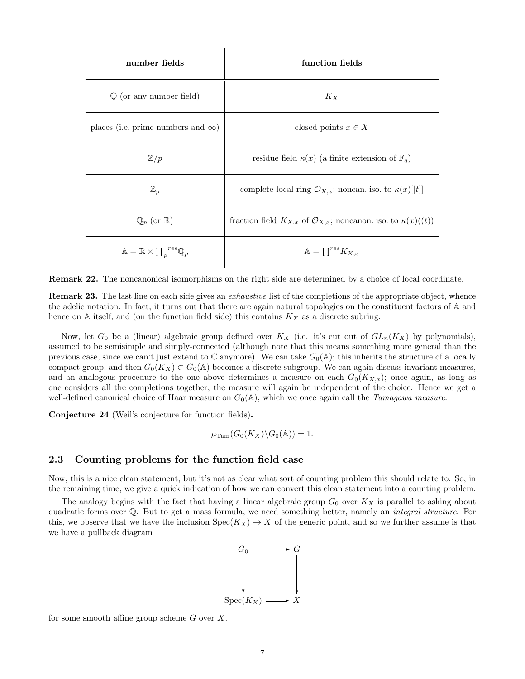| number fields                                                    | function fields                                                                      |
|------------------------------------------------------------------|--------------------------------------------------------------------------------------|
| $\mathbb Q$ (or any number field)                                | $K_X$                                                                                |
| places (i.e. prime numbers and $\infty$ )                        | closed points $x \in X$                                                              |
| $\mathbb{Z}/p$                                                   | residue field $\kappa(x)$ (a finite extension of $\mathbb{F}_q$ )                    |
| $\mathbb{Z}_p$                                                   | complete local ring $\mathcal{O}_{X,x}$ ; noncan. iso. to $\kappa(x)[[t]]$           |
| $\mathbb{Q}_p$ (or $\mathbb{R}$ )                                | fraction field $K_{X,x}$ of $\mathcal{O}_{X,x}$ ; noncanon. iso. to $\kappa(x)((t))$ |
| $\mathbb{A} = \mathbb{R} \times \prod_{p} {^{res} \mathbb{Q}_p}$ | $\mathbb{A} = \prod^{res} K_{X,x}$                                                   |

 $\overline{\phantom{a}}$ 

Remark 22. The noncanonical isomorphisms on the right side are determined by a choice of local coordinate.

Remark 23. The last line on each side gives an *exhaustive* list of the completions of the appropriate object, whence the adelic notation. In fact, it turns out that there are again natural topologies on the constituent factors of A and hence on  $A$  itself, and (on the function field side) this contains  $K_X$  as a discrete subring.

Now, let  $G_0$  be a (linear) algebraic group defined over  $K_X$  (i.e. it's cut out of  $GL_n(K_X)$  by polynomials), assumed to be semisimple and simply-connected (although note that this means something more general than the previous case, since we can't just extend to  $\mathbb C$  anymore). We can take  $G_0(\mathbb A)$ ; this inherits the structure of a locally compact group, and then  $G_0(K_X) \subset G_0(\mathbb{A})$  becomes a discrete subgroup. We can again discuss invariant measures, and an analogous procedure to the one above determines a measure on each  $G_0(K_{X,x})$ ; once again, as long as one considers all the completions together, the measure will again be independent of the choice. Hence we get a well-defined canonical choice of Haar measure on  $G_0(\mathbb{A})$ , which we once again call the *Tamagawa measure*.

Conjecture 24 (Weil's conjecture for function fields).

$$
\mu_{\mathrm{Tam}}(G_0(K_X)\backslash G_0(\mathbb{A}))=1.
$$

# 2.3 Counting problems for the function field case

Now, this is a nice clean statement, but it's not as clear what sort of counting problem this should relate to. So, in the remaining time, we give a quick indication of how we can convert this clean statement into a counting problem.

The analogy begins with the fact that having a linear algebraic group  $G_0$  over  $K_X$  is parallel to asking about quadratic forms over Q. But to get a mass formula, we need something better, namely an integral structure. For this, we observe that we have the inclusion  $Spec(K_X) \to X$  of the generic point, and so we further assume is that we have a pullback diagram



for some smooth affine group scheme  $G$  over  $X$ .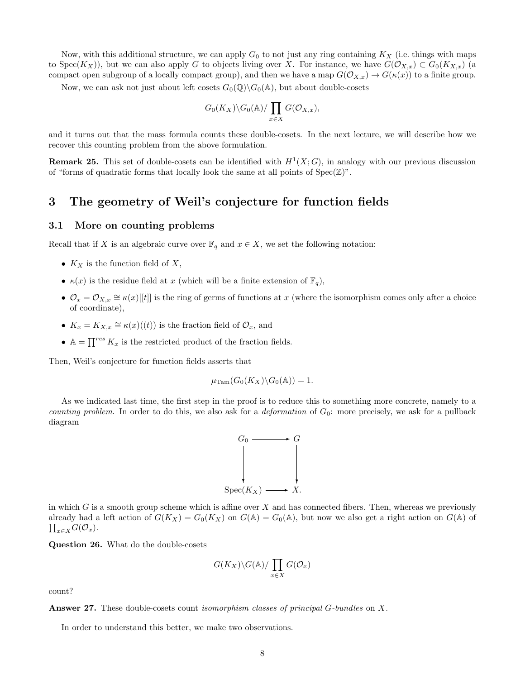Now, with this additional structure, we can apply  $G_0$  to not just any ring containing  $K_X$  (i.e. things with maps to Spec $(K_X)$ ), but we can also apply G to objects living over X. For instance, we have  $G(\mathcal{O}_{X,x}) \subset G_0(K_{X,x})$  (a compact open subgroup of a locally compact group), and then we have a map  $G(\mathcal{O}_{X,x}) \to G(\kappa(x))$  to a finite group.

Now, we can ask not just about left cosets  $G_0(\mathbb{Q})\backslash G_0(\mathbb{A})$ , but about double-cosets

$$
G_0(K_X)\backslash G_0(\mathbb{A})/\prod_{x\in X}G(\mathcal{O}_{X,x}),
$$

and it turns out that the mass formula counts these double-cosets. In the next lecture, we will describe how we recover this counting problem from the above formulation.

**Remark 25.** This set of double-cosets can be identified with  $H^1(X;G)$ , in analogy with our previous discussion of "forms of quadratic forms that locally look the same at all points of  $Spec(\mathbb{Z})$ ".

# 3 The geometry of Weil's conjecture for function fields

# 3.1 More on counting problems

Recall that if X is an algebraic curve over  $\mathbb{F}_q$  and  $x \in X$ , we set the following notation:

- $K_X$  is the function field of X,
- $\kappa(x)$  is the residue field at x (which will be a finite extension of  $\mathbb{F}_q$ ),
- $\mathcal{O}_x = \mathcal{O}_{X,x} \cong \kappa(x)[[t]]$  is the ring of germs of functions at x (where the isomorphism comes only after a choice of coordinate),
- $K_x = K_{X,x} \cong \kappa(x)((t))$  is the fraction field of  $\mathcal{O}_x$ , and
- $\mathbb{A} = \prod^{res} K_x$  is the restricted product of the fraction fields.

Then, Weil's conjecture for function fields asserts that

$$
\mu_{\mathrm{Tam}}(G_0(K_X)\backslash G_0(\mathbb{A}))=1.
$$

As we indicated last time, the first step in the proof is to reduce this to something more concrete, namely to a *counting problem.* In order to do this, we also ask for a *deformation* of  $G_0$ : more precisely, we ask for a pullback diagram



in which G is a smooth group scheme which is affine over  $X$  and has connected fibers. Then, whereas we previously already had a left action of  $G(K_X) = G_0(K_X)$  on  $G(\mathbb{A}) = G_0(\mathbb{A})$ , but now we also get a right action on  $G(\mathbb{A})$  of  $\prod_{x\in X}G(\mathcal{O}_x).$ 

Question 26. What do the double-cosets

$$
G(K_X)\backslash G(\mathbb{A})/\prod_{x\in X}G(\mathcal{O}_x)
$$

count?

**Answer 27.** These double-cosets count *isomorphism classes of principal G-bundles* on X.

In order to understand this better, we make two observations.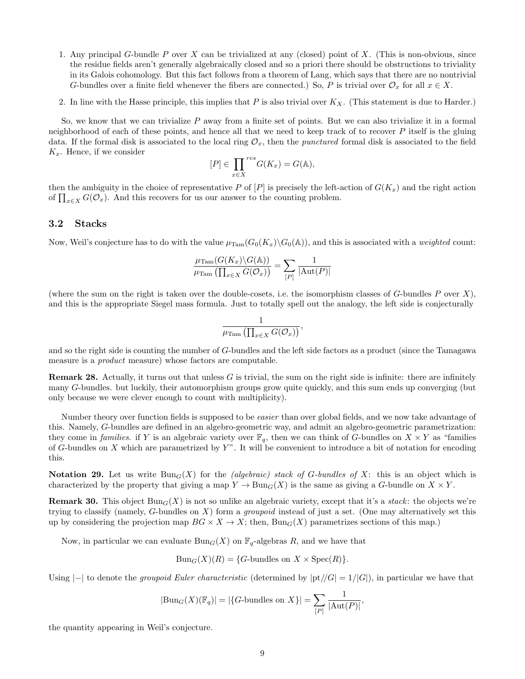- 1. Any principal G-bundle P over X can be trivialized at any (closed) point of X. (This is non-obvious, since the residue fields aren't generally algebraically closed and so a priori there should be obstructions to triviality in its Galois cohomology. But this fact follows from a theorem of Lang, which says that there are no nontrivial G-bundles over a finite field whenever the fibers are connected.) So, P is trivial over  $\mathcal{O}_x$  for all  $x \in X$ .
- 2. In line with the Hasse principle, this implies that  $P$  is also trivial over  $K_X$ . (This statement is due to Harder.)

So, we know that we can trivialize  $P$  away from a finite set of points. But we can also trivialize it in a formal neighborhood of each of these points, and hence all that we need to keep track of to recover  $P$  itself is the gluing data. If the formal disk is associated to the local ring  $\mathcal{O}_x$ , then the *punctured* formal disk is associated to the field  $K_x$ . Hence, if we consider

$$
[P] \in \prod_{x \in X} {}^{res} G(K_x) = G(\mathbb{A}),
$$

then the ambiguity in the choice of representative P of  $[P]$  is precisely the left-action of  $G(K_x)$  and the right action of  $\prod_{x \in X} G(\mathcal{O}_x)$ . And this recovers for us our answer to the counting problem.

#### 3.2 Stacks

Now, Weil's conjecture has to do with the value  $\mu_{\text{Tam}}(G_0(K_x)\backslash G_0(\mathbb{A}))$ , and this is associated with a *weighted* count:

$$
\frac{\mu_{\mathrm{Tam}}(G(K_x)\backslash G(\mathbb{A}))}{\mu_{\mathrm{Tam}}\left(\prod_{x\in X}G(\mathcal{O}_x)\right)}=\sum_{[P]}\frac{1}{|\mathrm{Aut}(P)|}
$$

(where the sum on the right is taken over the double-cosets, i.e. the isomorphism classes of  $G$ -bundles  $P$  over  $X$ ), and this is the appropriate Siegel mass formula. Just to totally spell out the analogy, the left side is conjecturally

$$
\frac{1}{\mu_{\text{Tam}}\left(\prod_{x\in X}G(\mathcal{O}_x)\right)},
$$

and so the right side is counting the number of G-bundles and the left side factors as a product (since the Tamagawa measure is a *product* measure) whose factors are computable.

**Remark 28.** Actually, it turns out that unless  $G$  is trivial, the sum on the right side is infinite: there are infinitely many G-bundles. but luckily, their automorphism groups grow quite quickly, and this sum ends up converging (but only because we were clever enough to count with multiplicity).

Number theory over function fields is supposed to be *easier* than over global fields, and we now take advantage of this. Namely, G-bundles are defined in an algebro-geometric way, and admit an algebro-geometric parametrization: they come in families. if Y is an algebraic variety over  $\mathbb{F}_q$ , then we can think of G-bundles on  $X \times Y$  as "families of G-bundles on  $X$  which are parametrized by  $Y$ ". It will be convenient to introduce a bit of notation for encoding this.

**Notation 29.** Let us write  $Bun_G(X)$  for the *(algebraic) stack of G-bundles of X*: this is an object which is characterized by the property that giving a map  $Y \to \text{Bun}_G(X)$  is the same as giving a G-bundle on  $X \times Y$ .

**Remark 30.** This object  $\text{Bun}_G(X)$  is not so unlike an algebraic variety, except that it's a *stack*: the objects we're trying to classify (namely, G-bundles on X) form a *groupoid* instead of just a set. (One may alternatively set this up by considering the projection map  $BG \times X \to X$ ; then,  $Bun_G(X)$  parametrizes sections of this map.)

Now, in particular we can evaluate  $Bun_G(X)$  on  $\mathbb{F}_q$ -algebras R, and we have that

$$
Bun_G(X)(R) = \{G\text{-bundles on } X \times \text{Spec}(R)\}.
$$

Using  $|-|$  to denote the *groupoid Euler characteristic* (determined by  $|pt|/|G| = 1/|G|$ ), in particular we have that

$$
|\text{Bun}_G(X)(\mathbb{F}_q)| = |\{G\text{-bundles on }X\}| = \sum_{[P]} \frac{1}{|\text{Aut}(P)|},
$$

the quantity appearing in Weil's conjecture.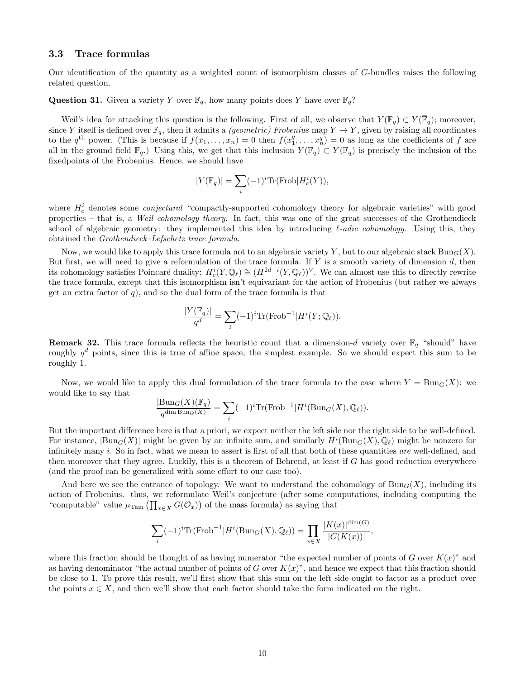#### 3.3 Trace formulas

Our identification of the quantity as a weighted count of isomorphism classes of G-bundles raises the following related question.

**Question 31.** Given a variety Y over  $\mathbb{F}_q$ , how many points does Y have over  $\mathbb{F}_q$ ?

Weil's idea for attacking this question is the following. First of all, we observe that  $Y(\mathbb{F}_q) \subset Y(\mathbb{F}_q)$ ; moreover, since Y itself is defined over  $\mathbb{F}_q$ , then it admits a *(geometric) Frobenius* map  $Y \to Y$ , given by raising all coordinates to the  $q^{\text{th}}$  power. (This is because if  $f(x_1,\ldots,x_n) = 0$  then  $f(x_1^q,\ldots,x_n^q) = 0$  as long as the coefficients of f are all in the ground field  $\mathbb{F}_q$ .) Using this, we get that this inclusion  $Y(\mathbb{F}_q) \subset Y(\overline{\mathbb{F}}_q)$  is precisely the inclusion of the fixedpoints of the Frobenius. Hence, we should have

$$
|Y(\mathbb{F}_q)| = \sum_i (-1)^i \text{Tr}(\text{Frob}|H_c^i(Y)),
$$

where  $H_c^i$  denotes some *conjectural* "compactly-supported cohomology theory for algebraic varieties" with good properties – that is, a Weil cohomology theory. In fact, this was one of the great successes of the Grothendieck school of algebraic geometry: they implemented this idea by introducing  $\ell$ -adic cohomology. Using this, they obtained the Grothendieck–Lefschetz trace formula.

Now, we would like to apply this trace formula not to an algebraic variety Y, but to our algebraic stack  $Bun_G(X)$ . But first, we will need to give a reformulation of the trace formula. If Y is a smooth variety of dimension  $d$ , then its cohomology satisfies Poincaré duality:  $H_c^i(Y, \mathbb{Q}_\ell) \cong (H^{2d-i}(Y, \mathbb{Q}_\ell))^{\vee}$ . We can almost use this to directly rewrite the trace formula, except that this isomorphism isn't equivariant for the action of Frobenius (but rather we always get an extra factor of  $q$ ), and so the dual form of the trace formula is that

$$
\frac{|Y(\mathbb{F}_q)|}{q^d} = \sum_i (-1)^i \text{Tr}(\text{Frob}^{-1} | H^i(Y; \mathbb{Q}_\ell)).
$$

**Remark 32.** This trace formula reflects the heuristic count that a dimension-d variety over  $\mathbb{F}_q$  "should" have roughly  $q<sup>d</sup>$  points, since this is true of affine space, the simplest example. So we should expect this sum to be roughly 1.

Now, we would like to apply this dual formulation of the trace formula to the case where  $Y = \text{Bun}_G(X)$ : we would like to say that

$$
\frac{|\mathrm{Bun}_{G}(X)(\mathbb{F}_q)}{q^{\dim \mathrm{Bun}_{G}(X)}} = \sum_{i} (-1)^i \mathrm{Tr}(\mathrm{Frob}^{-1}|H^i(\mathrm{Bun}_{G}(X),\mathbb{Q}_\ell)).
$$

But the important difference here is that a priori, we expect neither the left side nor the right side to be well-defined. For instance,  $|\text{Bun}_G(X)|$  might be given by an infinite sum, and similarly  $H^i(\text{Bun}_G(X), \mathbb{Q}_\ell)$  might be nonzero for infinitely many  $i$ . So in fact, what we mean to assert is first of all that both of these quantities *are* well-defined, and then moreover that they agree. Luckily, this is a theorem of Behrend, at least if G has good reduction everywhere (and the proof can be generalized with some effort to our case too).

And here we see the entrance of topology. We want to understand the cohomology of  $\text{Bun}_G(X)$ , including its action of Frobenius. thus, we reformulate Weil's conjecture (after some computations, including computing the "computable" value  $\mu_{\text{Tam}}\left(\prod_{x\in X} G(\mathcal{O}_x)\right)$  of the mass formula) as saying that

$$
\sum_{i} (-1)^{i} \text{Tr}(\text{Frob}^{-1} | H^{i}(\text{Bun}_{G}(X), \mathbb{Q}_{\ell})) = \prod_{x \in X} \frac{|K(x)|^{\dim(G)}}{|G(K(x))|},
$$

where this fraction should be thought of as having numerator "the expected number of points of G over  $K(x)$ " and as having denominator "the actual number of points of G over  $K(x)$ ", and hence we expect that this fraction should be close to 1. To prove this result, we'll first show that this sum on the left side ought to factor as a product over the points  $x \in X$ , and then we'll show that each factor should take the form indicated on the right.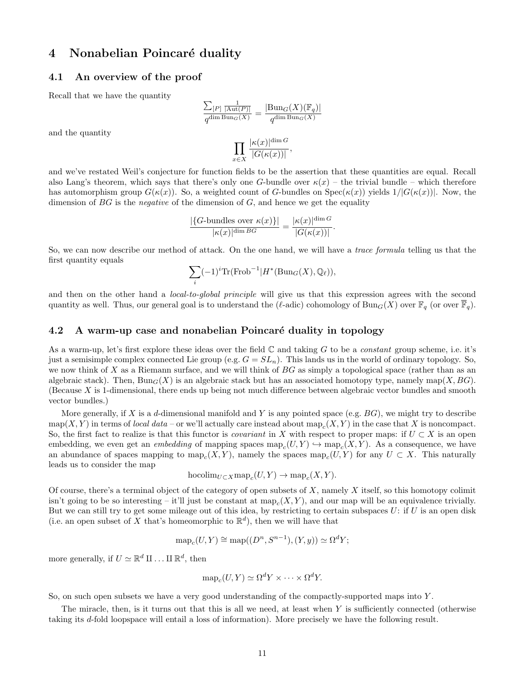# 4 Nonabelian Poincaré duality

# 4.1 An overview of the proof

Recall that we have the quantity

and the quantity

$$
\frac{\sum_{[P]}\frac{1}{|\text{Aut}(P)|}}{q^{\dim \text{Bun}_G(X)}} = \frac{|\text{Bun}_G(X)(\mathbb{F}_q)|}{q^{\dim \text{Bun}_G(X)}}
$$

$$
\prod_{x \in X} \frac{|\kappa(x)|^{\dim G}}{|G(\kappa(x))|},
$$

and we've restated Weil's conjecture for function fields to be the assertion that these quantities are equal. Recall also Lang's theorem, which says that there's only one G-bundle over  $\kappa(x)$  – the trivial bundle – which therefore has automorphism group  $G(\kappa(x))$ . So, a weighted count of G-bundles on  $Spec(\kappa(x))$  yields  $1/|G(\kappa(x))|$ . Now, the dimension of  $BG$  is the *negative* of the dimension of  $G$ , and hence we get the equality

$$
\frac{|\{G\text{-bundles over }\kappa(x)\}|}{|\kappa(x)|^{\dim BG}} = \frac{|\kappa(x)|^{\dim G}}{|G(\kappa(x))|}.
$$

So, we can now describe our method of attack. On the one hand, we will have a trace formula telling us that the first quantity equals

$$
\sum_{i} (-1)^i \text{Tr}(\text{Frob}^{-1} | H^*(\text{Bun}_G(X), \mathbb{Q}_\ell)),
$$

and then on the other hand a *local-to-global principle* will give us that this expression agrees with the second quantity as well. Thus, our general goal is to understand the ( $\ell$ -adic) cohomology of Bun<sub>G</sub>(X) over  $\mathbb{F}_q$  (or over  $\mathbb{F}_q$ ).

## 4.2 A warm-up case and nonabelian Poincaré duality in topology

As a warm-up, let's first explore these ideas over the field  $\mathbb C$  and taking  $G$  to be a *constant* group scheme, i.e. it's just a semisimple complex connected Lie group (e.g.  $G = SL_n$ ). This lands us in the world of ordinary topology. So, we now think of X as a Riemann surface, and we will think of  $BG$  as simply a topological space (rather than as an algebraic stack). Then,  $Bun_G(X)$  is an algebraic stack but has an associated homotopy type, namely map(X, BG). (Because  $X$  is 1-dimensional, there ends up being not much difference between algebraic vector bundles and smooth vector bundles.)

More generally, if X is a d-dimensional manifold and Y is any pointed space (e.g.  $BG$ ), we might try to describe  $map(X, Y)$  in terms of *local data* – or we'll actually care instead about  $map_c(X, Y)$  in the case that X is noncompact. So, the first fact to realize is that this functor is *covariant* in X with respect to proper maps: if  $U \subset X$  is an open embedding, we even get an *embedding* of mapping spaces  $\text{map}_c(U, Y) \hookrightarrow \text{map}_c(X, Y)$ . As a consequence, we have an abundance of spaces mapping to  $\text{map}_c(X, Y)$ , namely the spaces  $\text{map}_c(U, Y)$  for any  $U \subset X$ . This naturally leads us to consider the map

$$
\text{hocolim}_{U\subset X} \text{map}_c(U, Y) \to \text{map}_c(X, Y).
$$

Of course, there's a terminal object of the category of open subsets of  $X$ , namely  $X$  itself, so this homotopy colimit isn't going to be so interesting – it'll just be constant at  $map_c(X, Y)$ , and our map will be an equivalence trivially. But we can still try to get some mileage out of this idea, by restricting to certain subspaces  $U:$  if U is an open disk (i.e. an open subset of X that's homeomorphic to  $\mathbb{R}^d$ ), then we will have that

$$
\operatorname{map}_c(U, Y) \cong \operatorname{map}((D^n, S^{n-1}), (Y, y)) \simeq \Omega^d Y;
$$

more generally, if  $U \simeq \mathbb{R}^d \amalg \ldots \amalg \mathbb{R}^d$ , then

$$
\operatorname{map}_c(U, Y) \simeq \Omega^d Y \times \cdots \times \Omega^d Y.
$$

So, on such open subsets we have a very good understanding of the compactly-supported maps into Y .

The miracle, then, is it turns out that this is all we need, at least when  $Y$  is sufficiently connected (otherwise taking its d-fold loopspace will entail a loss of information). More precisely we have the following result.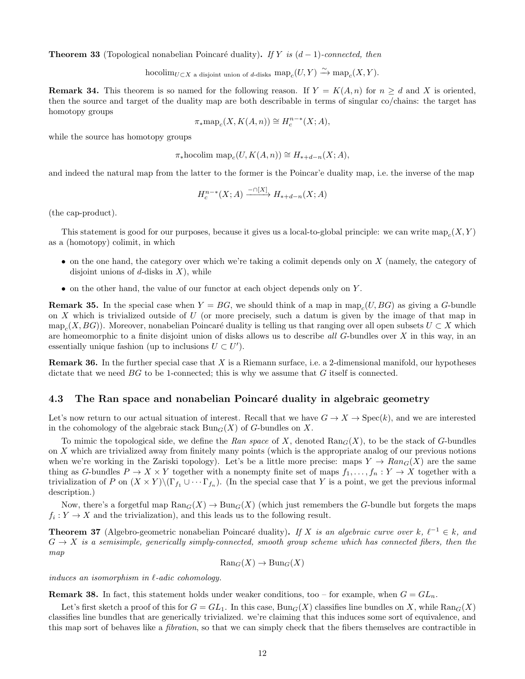**Theorem 33** (Topological nonabelian Poincaré duality). If Y is  $(d-1)$ -connected, then

$$
\operatorname{hocolim}_{U\subset X} \operatorname{a}\operatorname{disjoint}\operatorname{union}\operatorname{of} d\operatorname{-disks}\operatorname{map}_c(U,Y)\xrightarrow{\sim} \operatorname{map}_c(X,Y).
$$

**Remark 34.** This theorem is so named for the following reason. If  $Y = K(A, n)$  for  $n \geq d$  and X is oriented, then the source and target of the duality map are both describable in terms of singular co/chains: the target has homotopy groups

$$
\pi_* \operatorname{map}_c(X, K(A, n)) \cong H_c^{n-*}(X; A),
$$

while the source has homotopy groups

$$
\pi_*\mathrm{hocolim}\, \mathrm{map}_c(U,K(A,n)) \cong H_{*+d-n}(X;A),
$$

and indeed the natural map from the latter to the former is the Poincar'e duality map, i.e. the inverse of the map

$$
H^{n-*}_c(X;A) \xrightarrow{-\cap [X]} H_{*+d-n}(X;A)
$$

(the cap-product).

This statement is good for our purposes, because it gives us a local-to-global principle: we can write  $\text{map}_{c}(X,Y)$ as a (homotopy) colimit, in which

- on the one hand, the category over which we're taking a colimit depends only on X (namely, the category of disjoint unions of d-disks in  $X$ ), while
- on the other hand, the value of our functor at each object depends only on Y.

**Remark 35.** In the special case when  $Y = BG$ , we should think of a map in map<sub>c</sub> $(U, BG)$  as giving a G-bundle on  $X$  which is trivialized outside of  $U$  (or more precisely, such a datum is given by the image of that map in  $map_c(X, BG)$ ). Moreover, nonabelian Poincaré duality is telling us that ranging over all open subsets  $U \subset X$  which are homeomorphic to a finite disjoint union of disks allows us to describe all  $G$ -bundles over  $X$  in this way, in an essentially unique fashion (up to inclusions  $U \subset U'$ ).

**Remark 36.** In the further special case that  $X$  is a Riemann surface, i.e. a 2-dimensional manifold, our hypotheses dictate that we need  $BG$  to be 1-connected; this is why we assume that  $G$  itself is connected.

#### 4.3 The Ran space and nonabelian Poincaré duality in algebraic geometry

Let's now return to our actual situation of interest. Recall that we have  $G \to X \to \text{Spec}(k)$ , and we are interested in the cohomology of the algebraic stack  $Bun_G(X)$  of G-bundles on X.

To mimic the topological side, we define the Ran space of X, denoted  $\text{Ran}_G(X)$ , to be the stack of G-bundles on X which are trivialized away from finitely many points (which is the appropriate analog of our previous notions when we're working in the Zariski topology). Let's be a little more precise: maps  $Y \to Ran_G(X)$  are the same thing as G-bundles  $P \to X \times Y$  together with a nonempty finite set of maps  $f_1, \ldots, f_n : Y \to X$  together with a trivialization of P on  $(X \times Y) \setminus (\Gamma_{f_1} \cup \cdots \Gamma_{f_n})$ . (In the special case that Y is a point, we get the previous informal description.)

Now, there's a forgetful map  $\text{Ran}_G(X) \to \text{Bun}_G(X)$  (which just remembers the G-bundle but forgets the maps  $f_i: Y \to X$  and the trivialization), and this leads us to the following result.

**Theorem 37** (Algebro-geometric nonabelian Poincaré duality). If X is an algebraic curve over k,  $\ell^{-1} \in k$ , and  $G \to X$  is a semisimple, generically simply-connected, smooth group scheme which has connected fibers, then the map

$$
\text{Ran}_G(X) \to \text{Bun}_G(X)
$$

induces an isomorphism in  $\ell$ -adic cohomology.

**Remark 38.** In fact, this statement holds under weaker conditions, too – for example, when  $G = GL_n$ .

Let's first sketch a proof of this for  $G = GL_1$ . In this case,  $Bun_G(X)$  classifies line bundles on X, while  $Ran_G(X)$ classifies line bundles that are generically trivialized. we're claiming that this induces some sort of equivalence, and this map sort of behaves like a fibration, so that we can simply check that the fibers themselves are contractible in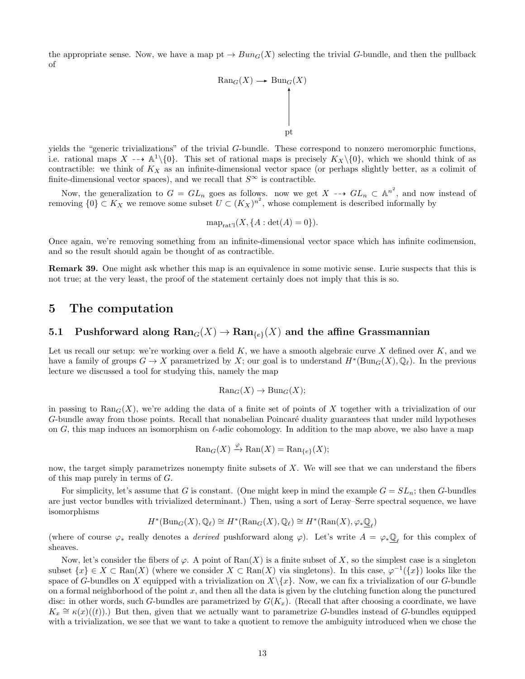the appropriate sense. Now, we have a map pt  $\rightarrow Bun_G(X)$  selecting the trivial G-bundle, and then the pullback of

$$
\begin{array}{ccc}\n\text{Ran}_G(X) & \longrightarrow & \text{Bun}_G(X) \\
\downarrow & & \downarrow \\
\downarrow & & \downarrow \\
\text{pt}\n\end{array}
$$

yields the "generic trivializations" of the trivial G-bundle. These correspond to nonzero meromorphic functions, i.e. rational maps  $X \dashrightarrow \mathbb{A}^1\backslash\{0\}$ . This set of rational maps is precisely  $K_X\backslash\{0\}$ , which we should think of as contractible: we think of  $K_X$  as an infinite-dimensional vector space (or perhaps slightly better, as a colimit of finite-dimensional vector spaces), and we recall that  $S^\infty$  is contractible.

Now, the generalization to  $G = GL_n$  goes as follows. now we get  $X \dashrightarrow GL_n \subset {\mathbb{A}}^{n^2}$ , and now instead of removing  $\{0\} \subset K_X$  we remove some subset  $U \subset (K_X)^{n^2}$ , whose complement is described informally by

$$
\operatorname{map}_{\operatorname{rat}^{\eta}}(X, \{A : \det(A) = 0\}).
$$

Once again, we're removing something from an infinite-dimensional vector space which has infinite codimension, and so the result should again be thought of as contractible.

Remark 39. One might ask whether this map is an equivalence in some motivic sense. Lurie suspects that this is not true; at the very least, the proof of the statement certainly does not imply that this is so.

# 5 The computation

# 5.1 Pushforward along  $\text{Ran}_G(X) \to \text{Ran}_{\{e\}}(X)$  and the affine Grassmannian

Let us recall our setup: we're working over a field  $K$ , we have a smooth algebraic curve  $X$  defined over  $K$ , and we have a family of groups  $G \to X$  parametrized by X; our goal is to understand  $H^*(Bun_G(X), \mathbb{Q}_\ell)$ . In the previous lecture we discussed a tool for studying this, namely the map

$$
\text{Ran}_G(X) \to \text{Bun}_G(X);
$$

in passing to  $\text{Ran}_G(X)$ , we're adding the data of a finite set of points of X together with a trivialization of our G-bundle away from those points. Recall that nonabelian Poincaré duality guarantees that under mild hypotheses on G, this map induces an isomorphism on  $\ell$ -adic cohomology. In addition to the map above, we also have a map

$$
\text{Ran}_G(X) \xrightarrow{\varphi} \text{Ran}(X) = \text{Ran}_{\{e\}}(X);
$$

now, the target simply parametrizes nonempty finite subsets of  $X$ . We will see that we can understand the fibers of this map purely in terms of G.

For simplicity, let's assume that G is constant. (One might keep in mind the example  $G = SL_n$ ; then G-bundles are just vector bundles with trivialized determinant.) Then, using a sort of Leray–Serre spectral sequence, we have isomorphisms

$$
H^*(\mathrm{Bun}_G(X),\mathbb{Q}_\ell) \cong H^*(\mathrm{Ran}_G(X),\mathbb{Q}_\ell) \cong H^*(\mathrm{Ran}(X),\varphi_*\underline{\mathbb{Q}}_\ell)
$$

(where of course  $\varphi_*$  really denotes a *derived* pushforward along  $\varphi$ ). Let's write  $A = \varphi_* \underline{\mathbb{Q}}_{\ell}$  for this complex of sheaves.

Now, let's consider the fibers of  $\varphi$ . A point of  $\text{Ran}(X)$  is a finite subset of X, so the simplest case is a singleton subset  $\{x\} \in X \subset \text{Ran}(X)$  (where we consider  $X \subset \text{Ran}(X)$  via singletons). In this case,  $\varphi^{-1}(\{x\})$  looks like the space of G-bundles on X equipped with a trivialization on  $X\setminus\{x\}$ . Now, we can fix a trivialization of our G-bundle on a formal neighborhood of the point  $x$ , and then all the data is given by the clutching function along the punctured disc: in other words, such G-bundles are parametrized by  $G(K_x)$ . (Recall that after choosing a coordinate, we have  $K_x \cong \kappa(x)(t)$ .) But then, given that we actually want to parametrize G-bundles instead of G-bundles equipped with a trivialization, we see that we want to take a quotient to remove the ambiguity introduced when we chose the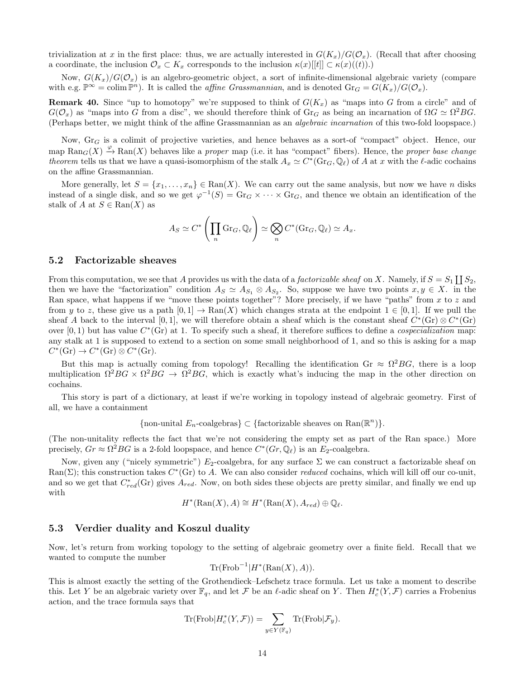trivialization at x in the first place: thus, we are actually interested in  $G(K_x)/G(\mathcal{O}_x)$ . (Recall that after choosing a coordinate, the inclusion  $\mathcal{O}_x \subset K_x$  corresponds to the inclusion  $\kappa(x)[[t]] \subset \kappa(x)((t))$ .)

Now,  $G(K_x)/G(\mathcal{O}_x)$  is an algebro-geometric object, a sort of infinite-dimensional algebraic variety (compare with e.g.  $\mathbb{P}^{\infty} = \text{colim } \mathbb{P}^n$ ). It is called the *affine Grassmannian*, and is denoted  $\text{Gr}_G = G(K_x)/G(\mathcal{O}_x)$ .

**Remark 40.** Since "up to homotopy" we're supposed to think of  $G(K_x)$  as "maps into G from a circle" and of  $G(\mathcal{O}_x)$  as "maps into G from a disc", we should therefore think of Gr<sub>G</sub> as being an incarnation of  $\Omega G \simeq \Omega^2 BG$ . (Perhaps better, we might think of the affine Grassmannian as an algebraic incarnation of this two-fold loopspace.)

Now,  $\text{Gr}_G$  is a colimit of projective varieties, and hence behaves as a sort-of "compact" object. Hence, our map  $\text{Ran}_G(X) \stackrel{\varphi}{\to} \text{Ran}(X)$  behaves like a proper map (i.e. it has "compact" fibers). Hence, the proper base change theorem tells us that we have a quasi-isomorphism of the stalk  $A_x \simeq C^*(\text{Gr}_G, \mathbb{Q}_\ell)$  of A at x with the  $\ell$ -adic cochains on the affine Grassmannian.

More generally, let  $S = \{x_1, \ldots, x_n\} \in \text{Ran}(X)$ . We can carry out the same analysis, but now we have n disks instead of a single disk, and so we get  $\varphi^{-1}(S) = \text{Gr}_G \times \cdots \times \text{Gr}_G$ , and thence we obtain an identification of the stalk of A at  $S \in \text{Ran}(X)$  as

$$
A_S \simeq C^* \left( \prod_n \mathrm{Gr}_G, \mathbb{Q}_\ell \right) \simeq \bigotimes_n C^* (\mathrm{Gr}_G, \mathbb{Q}_\ell) \simeq A_x.
$$

#### 5.2 Factorizable sheaves

From this computation, we see that A provides us with the data of a *factorizable sheaf* on X. Namely, if  $S = S_1 \coprod S_2$ , then we have the "factorization" condition  $A_S \simeq A_{S_1} \otimes A_{S_2}$ . So, suppose we have two points  $x, y \in X$ . in the Ran space, what happens if we "move these points together"? More precisely, if we have "paths" from x to z and from y to z, these give us a path  $[0, 1] \rightarrow \text{Ran}(X)$  which changes strata at the endpoint  $1 \in [0, 1]$ . If we pull the sheaf A back to the interval [0, 1], we will therefore obtain a sheaf which is the constant sheaf  $C^*(\text{Gr}) \otimes C^*(\text{Gr})$ over  $[0,1)$  but has value  $C^*(\text{Gr})$  at 1. To specify such a sheaf, it therefore suffices to define a *cospecialization* map: any stalk at 1 is supposed to extend to a section on some small neighborhood of 1, and so this is asking for a map  $C^*(\mathrm{Gr}) \to C^*(\mathrm{Gr}) \otimes C^*(\mathrm{Gr}).$ 

But this map is actually coming from topology! Recalling the identification Gr  $\approx \Omega^2 BG$ , there is a loop multiplication  $\Omega^2 BG \times \Omega^2 BG \to \Omega^2 BG$ , which is exactly what's inducing the map in the other direction on cochains.

This story is part of a dictionary, at least if we're working in topology instead of algebraic geometry. First of all, we have a containment

{non-unital  $E_n$ -coalgebras}  $\subset$  {factorizable sheaves on Ran( $\mathbb{R}^n$ )}.

(The non-unitality reflects the fact that we're not considering the empty set as part of the Ran space.) More precisely,  $Gr \approx \Omega^2 BG$  is a 2-fold loopspace, and hence  $C^*(Gr, \mathbb{Q}_\ell)$  is an  $E_2$ -coalgebra.

Now, given any ("nicely symmetric")  $E_2$ -coalgebra, for any surface  $\Sigma$  we can construct a factorizable sheaf on Ran( $\Sigma$ ); this construction takes  $C^*(\text{Gr})$  to A. We can also consider *reduced* cochains, which will kill off our co-unit, and so we get that  $C_{red}^*(\text{Gr})$  gives  $A_{red}$ . Now, on both sides these objects are pretty similar, and finally we end up with

$$
H^*(\text{Ran}(X), A) \cong H^*(\text{Ran}(X), A_{red}) \oplus \mathbb{Q}_{\ell}.
$$

#### 5.3 Verdier duality and Koszul duality

Now, let's return from working topology to the setting of algebraic geometry over a finite field. Recall that we wanted to compute the number

$$
\mathrm{Tr}(\mathrm{Frob}^{-1}|H^*(\mathrm{Ran}(X),A)).
$$

This is almost exactly the setting of the Grothendieck–Lefschetz trace formula. Let us take a moment to describe this. Let Y be an algebraic variety over  $\mathbb{F}_q$ , and let F be an  $\ell$ -adic sheaf on Y. Then  $H_c^*(Y, \mathcal{F})$  carries a Frobenius action, and the trace formula says that

$$
\text{Tr}(\text{Frob}|H_c^*(Y,\mathcal{F})) = \sum_{y \in Y(\mathbb{F}_q)} \text{Tr}(\text{Frob}|\mathcal{F}_y).
$$